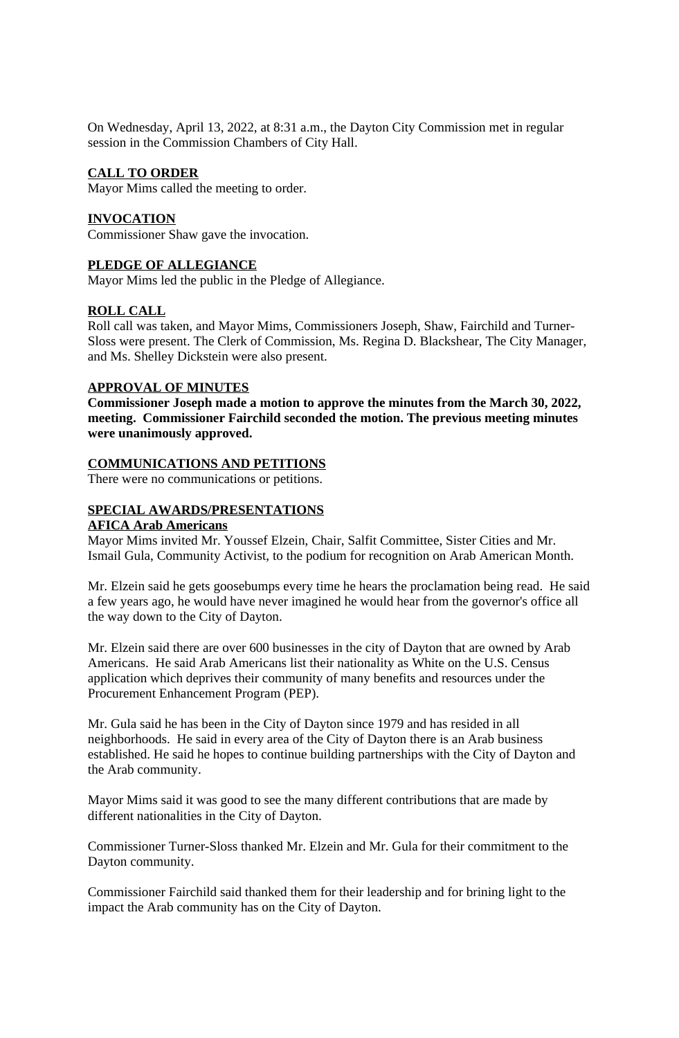On Wednesday, April 13, 2022, at 8:31 a.m., the Dayton City Commission met in regular session in the Commission Chambers of City Hall.

# **CALL TO ORDER**

Mayor Mims called the meeting to order.

# **INVOCATION**

Commissioner Shaw gave the invocation.

# **PLEDGE OF ALLEGIANCE**

Mayor Mims led the public in the Pledge of Allegiance.

# **ROLL CALL**

Roll call was taken, and Mayor Mims, Commissioners Joseph, Shaw, Fairchild and Turner-Sloss were present. The Clerk of Commission, Ms. Regina D. Blackshear, The City Manager, and Ms. Shelley Dickstein were also present.

# **APPROVAL OF MINUTES**

**Commissioner Joseph made a motion to approve the minutes from the March 30, 2022, meeting. Commissioner Fairchild seconded the motion. The previous meeting minutes were unanimously approved.**

# **COMMUNICATIONS AND PETITIONS**

There were no communications or petitions.

# **SPECIAL AWARDS/PRESENTATIONS**

## **AFICA Arab Americans**

Mayor Mims invited Mr. Youssef Elzein, Chair, Salfit Committee, Sister Cities and Mr. Ismail Gula, Community Activist, to the podium for recognition on Arab American Month.

Mr. Elzein said he gets goosebumps every time he hears the proclamation being read. He said a few years ago, he would have never imagined he would hear from the governor's office all the way down to the City of Dayton.

Mr. Elzein said there are over 600 businesses in the city of Dayton that are owned by Arab Americans. He said Arab Americans list their nationality as White on the U.S. Census application which deprives their community of many benefits and resources under the Procurement Enhancement Program (PEP).

Mr. Gula said he has been in the City of Dayton since 1979 and has resided in all neighborhoods. He said in every area of the City of Dayton there is an Arab business established. He said he hopes to continue building partnerships with the City of Dayton and the Arab community.

Mayor Mims said it was good to see the many different contributions that are made by different nationalities in the City of Dayton.

Commissioner Turner-Sloss thanked Mr. Elzein and Mr. Gula for their commitment to the Dayton community.

Commissioner Fairchild said thanked them for their leadership and for brining light to the impact the Arab community has on the City of Dayton.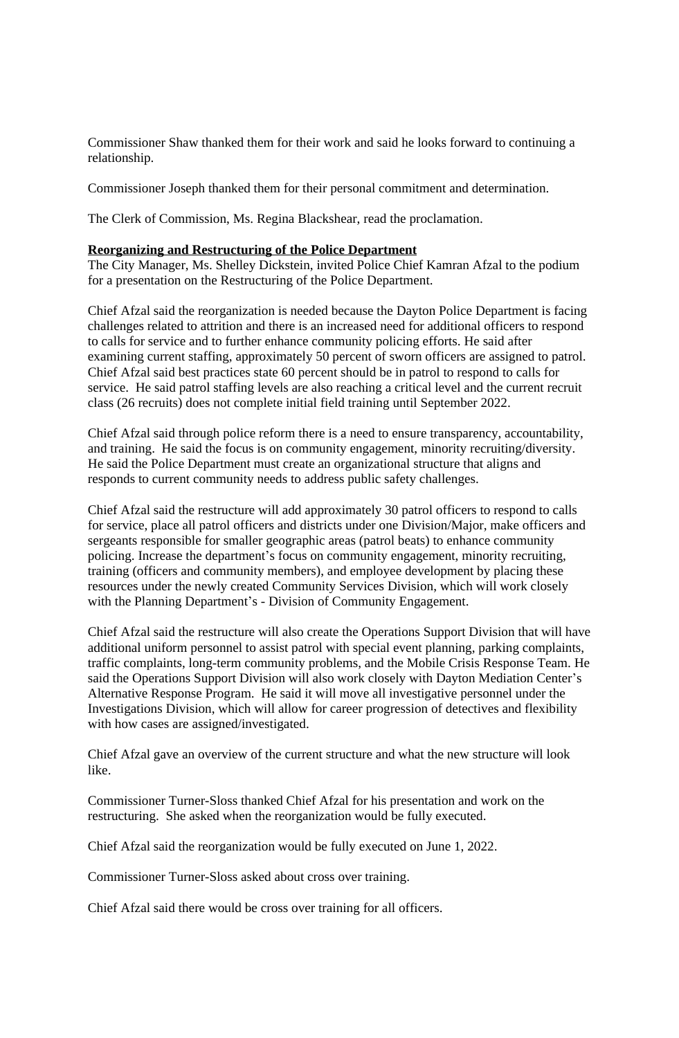Commissioner Shaw thanked them for their work and said he looks forward to continuing a relationship.

Commissioner Joseph thanked them for their personal commitment and determination.

The Clerk of Commission, Ms. Regina Blackshear, read the proclamation.

### **Reorganizing and Restructuring of the Police Department**

The City Manager, Ms. Shelley Dickstein, invited Police Chief Kamran Afzal to the podium for a presentation on the Restructuring of the Police Department.

Chief Afzal said the reorganization is needed because the Dayton Police Department is facing challenges related to attrition and there is an increased need for additional officers to respond to calls for service and to further enhance community policing efforts. He said after examining current staffing, approximately 50 percent of sworn officers are assigned to patrol. Chief Afzal said best practices state 60 percent should be in patrol to respond to calls for service. He said patrol staffing levels are also reaching a critical level and the current recruit class (26 recruits) does not complete initial field training until September 2022.

Chief Afzal said through police reform there is a need to ensure transparency, accountability, and training. He said the focus is on community engagement, minority recruiting/diversity. He said the Police Department must create an organizational structure that aligns and responds to current community needs to address public safety challenges.

Chief Afzal said the restructure will add approximately 30 patrol officers to respond to calls for service, place all patrol officers and districts under one Division/Major, make officers and sergeants responsible for smaller geographic areas (patrol beats) to enhance community policing. Increase the department's focus on community engagement, minority recruiting, training (officers and community members), and employee development by placing these resources under the newly created Community Services Division, which will work closely with the Planning Department's - Division of Community Engagement.

Chief Afzal said the restructure will also create the Operations Support Division that will have additional uniform personnel to assist patrol with special event planning, parking complaints, traffic complaints, long-term community problems, and the Mobile Crisis Response Team. He said the Operations Support Division will also work closely with Dayton Mediation Center's Alternative Response Program. He said it will move all investigative personnel under the Investigations Division, which will allow for career progression of detectives and flexibility with how cases are assigned/investigated.

Chief Afzal gave an overview of the current structure and what the new structure will look like.

Commissioner Turner-Sloss thanked Chief Afzal for his presentation and work on the restructuring. She asked when the reorganization would be fully executed.

Chief Afzal said the reorganization would be fully executed on June 1, 2022.

Commissioner Turner-Sloss asked about cross over training.

Chief Afzal said there would be cross over training for all officers.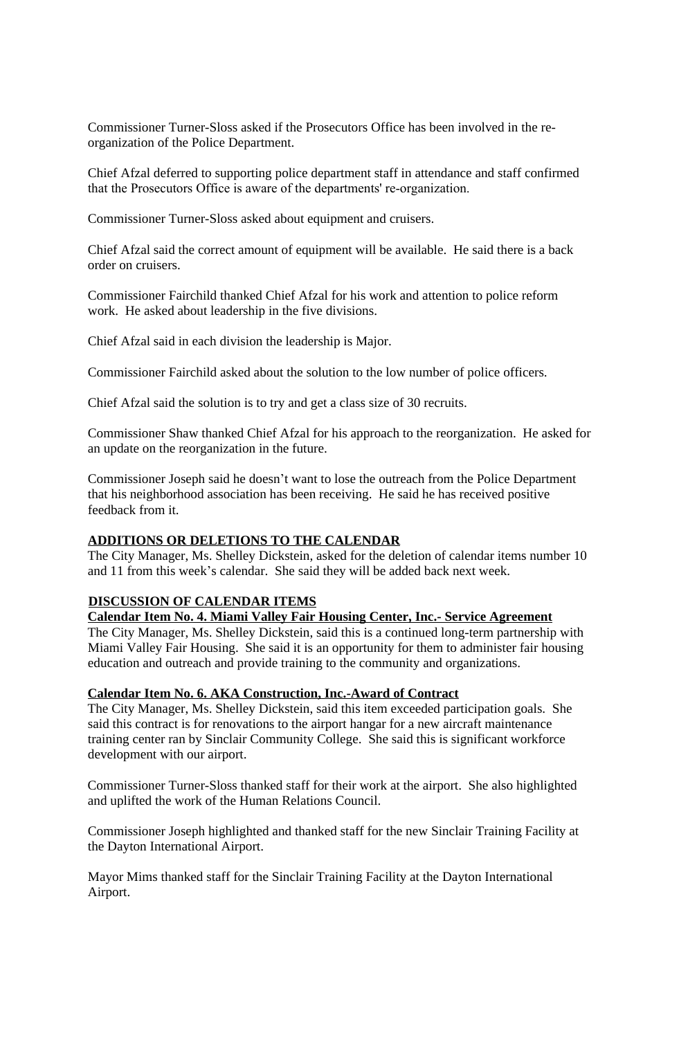Commissioner Turner-Sloss asked if the Prosecutors Office has been involved in the reorganization of the Police Department.

Chief Afzal deferred to supporting police department staff in attendance and staff confirmed that the Prosecutors Office is aware of the departments' re-organization.

Commissioner Turner-Sloss asked about equipment and cruisers.

Chief Afzal said the correct amount of equipment will be available. He said there is a back order on cruisers.

Commissioner Fairchild thanked Chief Afzal for his work and attention to police reform work. He asked about leadership in the five divisions.

Chief Afzal said in each division the leadership is Major.

Commissioner Fairchild asked about the solution to the low number of police officers.

Chief Afzal said the solution is to try and get a class size of 30 recruits.

Commissioner Shaw thanked Chief Afzal for his approach to the reorganization. He asked for an update on the reorganization in the future.

Commissioner Joseph said he doesn't want to lose the outreach from the Police Department that his neighborhood association has been receiving. He said he has received positive feedback from it.

### **ADDITIONS OR DELETIONS TO THE CALENDAR**

The City Manager, Ms. Shelley Dickstein, asked for the deletion of calendar items number 10 and 11 from this week's calendar. She said they will be added back next week.

### **DISCUSSION OF CALENDAR ITEMS**

**Calendar Item No. 4. Miami Valley Fair Housing Center, Inc.- Service Agreement**

The City Manager, Ms. Shelley Dickstein, said this is a continued long-term partnership with Miami Valley Fair Housing. She said it is an opportunity for them to administer fair housing education and outreach and provide training to the community and organizations.

### **Calendar Item No. 6. AKA Construction, Inc.-Award of Contract**

The City Manager, Ms. Shelley Dickstein, said this item exceeded participation goals. She said this contract is for renovations to the airport hangar for a new aircraft maintenance training center ran by Sinclair Community College. She said this is significant workforce development with our airport.

Commissioner Turner-Sloss thanked staff for their work at the airport. She also highlighted and uplifted the work of the Human Relations Council.

Commissioner Joseph highlighted and thanked staff for the new Sinclair Training Facility at the Dayton International Airport.

Mayor Mims thanked staff for the Sinclair Training Facility at the Dayton International Airport.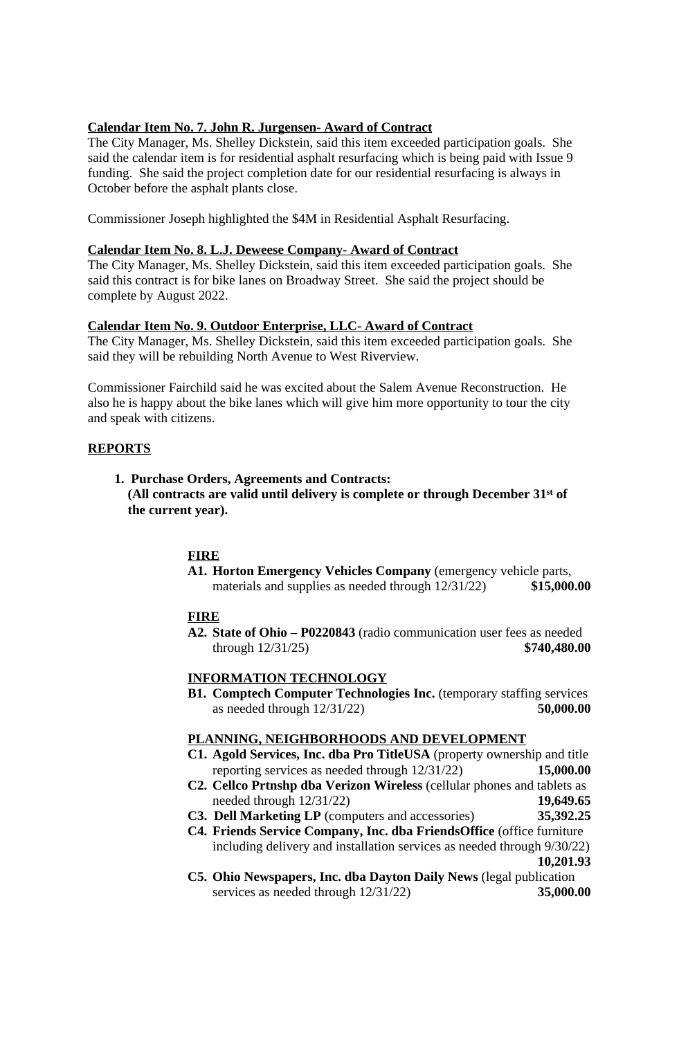# **Calendar Item No. 7. John R. Jurgensen- Award of Contract**

The City Manager, Ms. Shelley Dickstein, said this item exceeded participation goals. She said the calendar item is for residential asphalt resurfacing which is being paid with Issue 9 funding. She said the project completion date for our residential resurfacing is always in October before the asphalt plants close.

Commissioner Joseph highlighted the \$4M in Residential Asphalt Resurfacing.

## **Calendar Item No. 8. L.J. Deweese Company- Award of Contract**

The City Manager, Ms. Shelley Dickstein, said this item exceeded participation goals. She said this contract is for bike lanes on Broadway Street. She said the project should be complete by August 2022.

# **Calendar Item No. 9. Outdoor Enterprise, LLC- Award of Contract**

The City Manager, Ms. Shelley Dickstein, said this item exceeded participation goals. She said they will be rebuilding North Avenue to West Riverview.

Commissioner Fairchild said he was excited about the Salem Avenue Reconstruction. He also he is happy about the bike lanes which will give him more opportunity to tour the city and speak with citizens.

### **REPORTS**

### **1. Purchase Orders, Agreements and Contracts: (All contracts are valid until delivery is complete or through December 31st of the current year).**

# **FIRE**

**A1. Horton Emergency Vehicles Company** (emergency vehicle parts, materials and supplies as needed through  $12/31/22$  \$15,000.00

### **FIRE**

**A2. State of Ohio – P0220843** (radio communication user fees as needed through 12/31/25) **\$740,480.00**

### **INFORMATION TECHNOLOGY**

**B1. Comptech Computer Technologies Inc.** (temporary staffing services as needed through 12/31/22) **50,000.00**

### **PLANNING, NEIGHBORHOODS AND DEVELOPMENT**

- **C1. Agold Services, Inc. dba Pro TitleUSA** (property ownership and title reporting services as needed through 12/31/22) **15,000.00**
- **C2. Cellco Prtnshp dba Verizon Wireless** (cellular phones and tablets as needed through 12/31/22) **19,649.65**
- **C3. Dell Marketing LP** (computers and accessories) **35,392.25**
- **C4. Friends Service Company, Inc. dba FriendsOffice** (office furniture including delivery and installation services as needed through 9/30/22) **10,201.93**
- **C5. Ohio Newspapers, Inc. dba Dayton Daily News** (legal publication services as needed through 12/31/22) **35,000.00**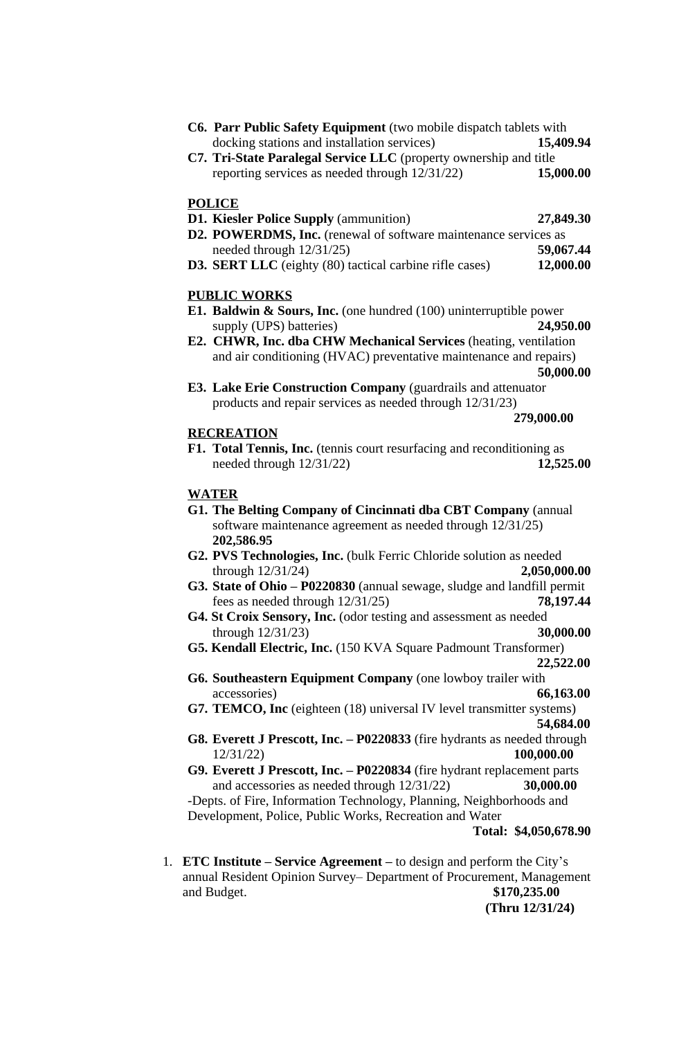- **C6. Parr Public Safety Equipment** (two mobile dispatch tablets with docking stations and installation services) **15,409.94**
- **C7. Tri-State Paralegal Service LLC** (property ownership and title reporting services as needed through 12/31/22) **15,000.00**

#### **POLICE**

**D1. Kiesler Police Supply** (ammunition) **27,849.30**

- **D2. POWERDMS, Inc.** (renewal of software maintenance services as needed through 12/31/25) **59,067.44**
- **D3. SERT LLC** (eighty (80) tactical carbine rifle cases) **12,000.00**

### **PUBLIC WORKS**

**E1. Baldwin & Sours, Inc.** (one hundred (100) uninterruptible power supply (UPS) batteries) **24,950.00**

**E3. Lake Erie Construction Company** (guardrails and attenuator products and repair services as needed through 12/31/23)

#### **279,000.00**

## **RECREATION**

**F1. Total Tennis, Inc.** (tennis court resurfacing and reconditioning as needed through 12/31/22) **12,525.00**

#### **WATER**

- **G1. The Belting Company of Cincinnati dba CBT Company** (annual software maintenance agreement as needed through 12/31/25) **202,586.95**
- **G2. PVS Technologies, Inc.** (bulk Ferric Chloride solution as needed through 12/31/24) **2,050,000.00**
- **G3. State of Ohio – P0220830** (annual sewage, sludge and landfill permit fees as needed through 12/31/25) **78,197.44**
- **G4. St Croix Sensory, Inc.** (odor testing and assessment as needed through 12/31/23) **30,000.00**
- **G5. Kendall Electric, Inc.** (150 KVA Square Padmount Transformer)  **22,522.00**
- **G6. Southeastern Equipment Company** (one lowboy trailer with accessories) **66,163.00**
- **G7. TEMCO, Inc** (eighteen (18) universal IV level transmitter systems)  **54,684.00**
- **G8. Everett J Prescott, Inc. – P0220833** (fire hydrants as needed through 12/31/22) **100,000.00**
- **G9. Everett J Prescott, Inc. – P0220834** (fire hydrant replacement parts and accessories as needed through 12/31/22) **30,000.00** -Depts. of Fire, Information Technology, Planning, Neighborhoods and Development, Police, Public Works, Recreation and Water

#### **Total: \$4,050,678.90**

1. **ETC Institute – Service Agreement –** to design and perform the City's annual Resident Opinion Survey– Department of Procurement, Management and Budget. **\$170,235.00**

 **(Thru 12/31/24)**

**E2. CHWR, Inc. dba CHW Mechanical Services** (heating, ventilation and air conditioning (HVAC) preventative maintenance and repairs) **50,000.00**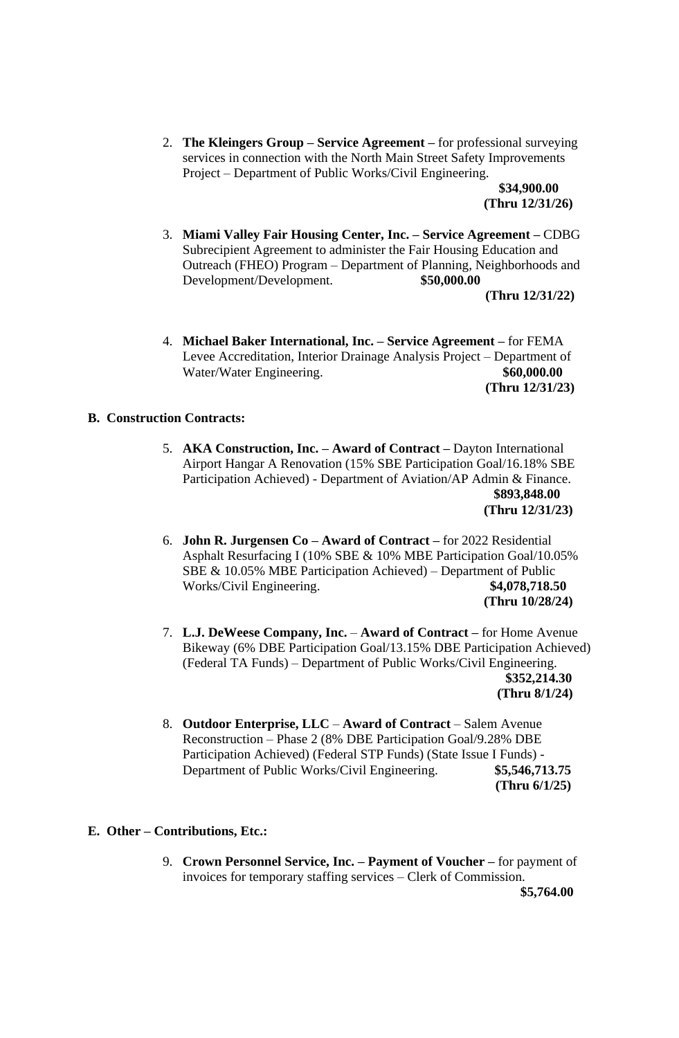2. **The Kleingers Group – Service Agreement –** for professional surveying services in connection with the North Main Street Safety Improvements Project – Department of Public Works/Civil Engineering.

> **\$34,900.00 (Thru 12/31/26)**

3. **Miami Valley Fair Housing Center, Inc. – Service Agreement –** CDBG Subrecipient Agreement to administer the Fair Housing Education and Outreach (FHEO) Program – Department of Planning, Neighborhoods and Development/Development. **\$50,000.00**

 **(Thru 12/31/22)**

4. **Michael Baker International, Inc. – Service Agreement –** for FEMA Levee Accreditation, Interior Drainage Analysis Project – Department of Water/Water Engineering. **\$60,000.00 (Thru 12/31/23)**

### **B. Construction Contracts:**

- 5. **AKA Construction, Inc. – Award of Contract –** Dayton International Airport Hangar A Renovation (15% SBE Participation Goal/16.18% SBE Participation Achieved) - Department of Aviation/AP Admin & Finance.  **\$893,848.00 (Thru 12/31/23)**
- 6. **John R. Jurgensen Co – Award of Contract –** for 2022 Residential Asphalt Resurfacing I (10% SBE & 10% MBE Participation Goal/10.05% SBE & 10.05% MBE Participation Achieved) – Department of Public Works/Civil Engineering. **\$4,078,718.50 (Thru 10/28/24)**
- 7. **L.J. DeWeese Company, Inc. Award of Contract –** for Home Avenue Bikeway (6% DBE Participation Goal/13.15% DBE Participation Achieved) (Federal TA Funds) – Department of Public Works/Civil Engineering. **\$352,214.30 (Thru 8/1/24)**
- 8. **Outdoor Enterprise, LLC Award of Contract Salem Avenue** Reconstruction – Phase 2 (8% DBE Participation Goal/9.28% DBE Participation Achieved) (Federal STP Funds) (State Issue I Funds) - Department of Public Works/Civil Engineering. **\$5,546,713.75 (Thru 6/1/25)**

### **E. Other – Contributions, Etc.:**

9. **Crown Personnel Service, Inc. – Payment of Voucher –** for payment of invoices for temporary staffing services – Clerk of Commission.

**\$5,764.00**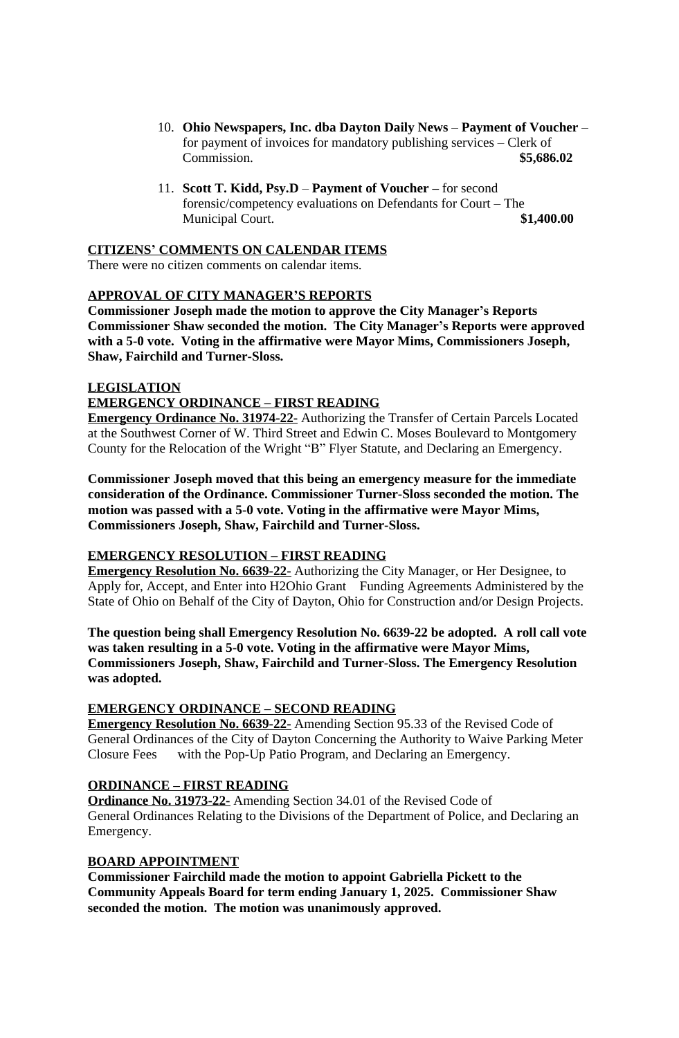- 10. **Ohio Newspapers, Inc. dba Dayton Daily News** – **Payment of Voucher**  for payment of invoices for mandatory publishing services – Clerk of Commission. **\$5,686.02**
- 11. **Scott T. Kidd, Psy.D** – **Payment of Voucher –** for second forensic/competency evaluations on Defendants for Court – The Municipal Court. **\$1,400.00**

### **CITIZENS' COMMENTS ON CALENDAR ITEMS**

There were no citizen comments on calendar items.

# **APPROVAL OF CITY MANAGER'S REPORTS**

**Commissioner Joseph made the motion to approve the City Manager's Reports Commissioner Shaw seconded the motion. The City Manager's Reports were approved with a 5-0 vote. Voting in the affirmative were Mayor Mims, Commissioners Joseph, Shaw, Fairchild and Turner-Sloss.**

# **LEGISLATION**

# **EMERGENCY ORDINANCE – FIRST READING**

**Emergency Ordinance No. 31974-22-** Authorizing the Transfer of Certain Parcels Located at the Southwest Corner of W. Third Street and Edwin C. Moses Boulevard to Montgomery County for the Relocation of the Wright "B" Flyer Statute, and Declaring an Emergency.

**Commissioner Joseph moved that this being an emergency measure for the immediate consideration of the Ordinance. Commissioner Turner-Sloss seconded the motion. The motion was passed with a 5-0 vote. Voting in the affirmative were Mayor Mims, Commissioners Joseph, Shaw, Fairchild and Turner-Sloss.** 

# **EMERGENCY RESOLUTION – FIRST READING**

**Emergency Resolution No. 6639-22-** Authorizing the City Manager, or Her Designee, to Apply for, Accept, and Enter into H2Ohio Grant Funding Agreements Administered by the State of Ohio on Behalf of the City of Dayton, Ohio for Construction and/or Design Projects.

**The question being shall Emergency Resolution No. 6639-22 be adopted. A roll call vote was taken resulting in a 5-0 vote. Voting in the affirmative were Mayor Mims, Commissioners Joseph, Shaw, Fairchild and Turner-Sloss. The Emergency Resolution was adopted.**

# **EMERGENCY ORDINANCE – SECOND READING**

**Emergency Resolution No. 6639-22-** Amending Section 95.33 of the Revised Code of General Ordinances of the City of Dayton Concerning the Authority to Waive Parking Meter Closure Fees with the Pop-Up Patio Program, and Declaring an Emergency.

# **ORDINANCE – FIRST READING**

**Ordinance No. 31973-22-** Amending Section 34.01 of the Revised Code of General Ordinances Relating to the Divisions of the Department of Police, and Declaring an Emergency.

# **BOARD APPOINTMENT**

**Commissioner Fairchild made the motion to appoint Gabriella Pickett to the Community Appeals Board for term ending January 1, 2025. Commissioner Shaw seconded the motion. The motion was unanimously approved.**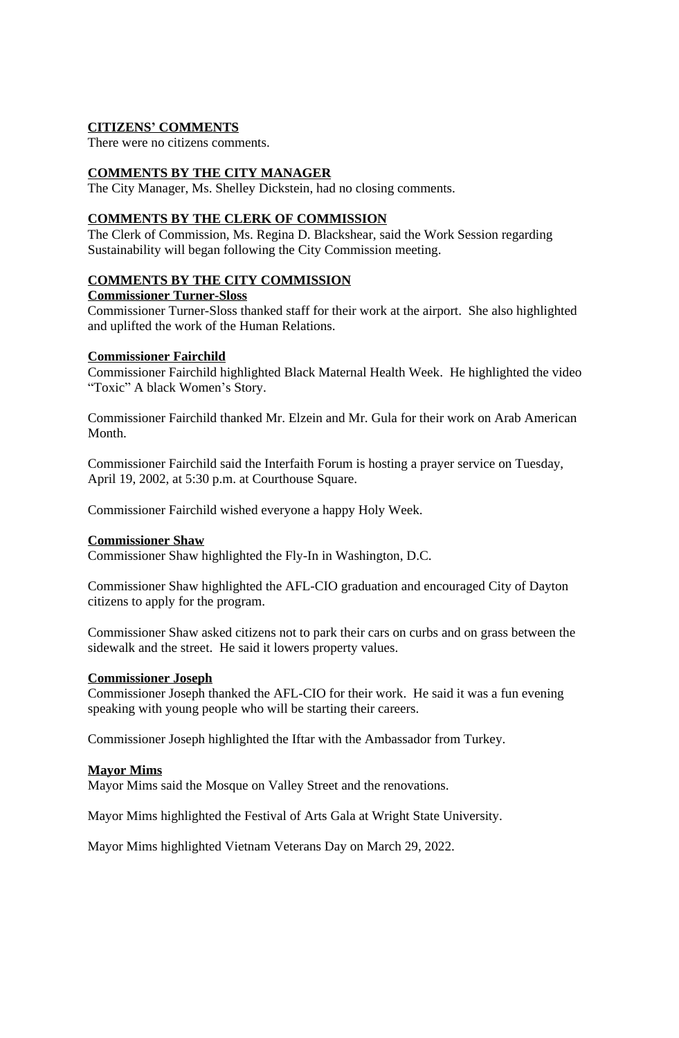# **CITIZENS' COMMENTS**

There were no citizens comments.

## **COMMENTS BY THE CITY MANAGER**

The City Manager, Ms. Shelley Dickstein, had no closing comments.

# **COMMENTS BY THE CLERK OF COMMISSION**

The Clerk of Commission, Ms. Regina D. Blackshear, said the Work Session regarding Sustainability will began following the City Commission meeting.

### **COMMENTS BY THE CITY COMMISSION**

### **Commissioner Turner-Sloss**

Commissioner Turner-Sloss thanked staff for their work at the airport. She also highlighted and uplifted the work of the Human Relations.

### **Commissioner Fairchild**

Commissioner Fairchild highlighted Black Maternal Health Week. He highlighted the video "Toxic" A black Women's Story.

Commissioner Fairchild thanked Mr. Elzein and Mr. Gula for their work on Arab American Month.

Commissioner Fairchild said the Interfaith Forum is hosting a prayer service on Tuesday, April 19, 2002, at 5:30 p.m. at Courthouse Square.

Commissioner Fairchild wished everyone a happy Holy Week.

### **Commissioner Shaw**

Commissioner Shaw highlighted the Fly-In in Washington, D.C.

Commissioner Shaw highlighted the AFL-CIO graduation and encouraged City of Dayton citizens to apply for the program.

Commissioner Shaw asked citizens not to park their cars on curbs and on grass between the sidewalk and the street. He said it lowers property values.

### **Commissioner Joseph**

Commissioner Joseph thanked the AFL-CIO for their work. He said it was a fun evening speaking with young people who will be starting their careers.

Commissioner Joseph highlighted the Iftar with the Ambassador from Turkey.

### **Mayor Mims**

Mayor Mims said the Mosque on Valley Street and the renovations.

Mayor Mims highlighted the Festival of Arts Gala at Wright State University.

Mayor Mims highlighted Vietnam Veterans Day on March 29, 2022.